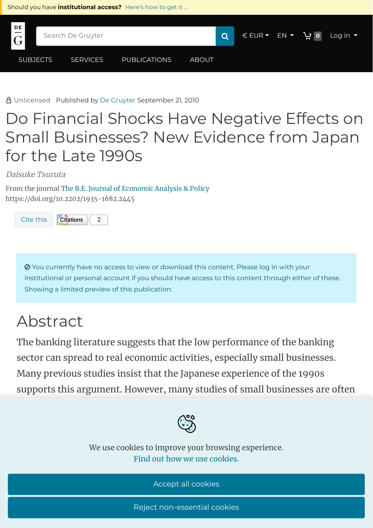

Unlicensed Published by De [Gruyter](https://www.degruyter.com/search?query=*&publisherFacet=De+Gruyter) September 21, 2010

## Do Financial Shocks Have Negative Effects on Small Businesses? New Evidence from Japan for the Late 1990s

Daisuke Tsuruta

From the journal The B.E. Journal of [Economic](https://www.degruyter.com/journal/key/bejeap/html) Analysis & Policy <https://doi.org/10.2202/1935-1682.2445>



 You currently have no access to view or download this content. Please log in with your institutional or personal account if you should have access to this content through either of these. Showing a limited preview of this publication:

## Abstract

The banking literature suggests that the low performance of the banking sector can spread to real economic activities, especially small businesses. Many previous studies insist that the Japanese experience of the 1990s supports this argument. However, many studies of small businesses are often



we use cookies to improve your browsing experience.<br>We use cookies to improve your browsing experience. Find out how we use cookies.

dier from the findings of previous work in this area. First, we show that per Accept all cookies

the widely used TANKAN statistics, the focus of many existing statistics, the focus of many existing studies, Reject non-essential cookies

misleading and that a majority of responding and that a majority of responding  $\alpha$  in this survey (at least 71%)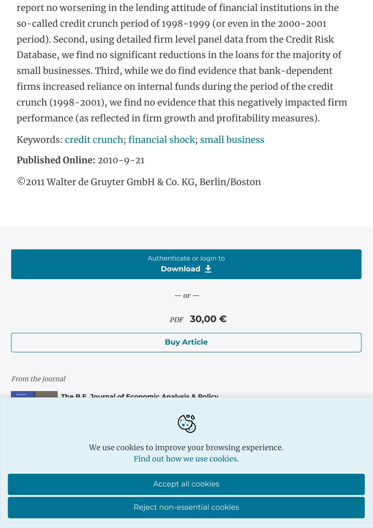report no worsening in the lending attitude of financial institutions in the so-called credit crunch period of 1998-1999 (or even in the 2000-2001 period). Second, using detailed firm level panel data from the Credit Risk Database, we find no significant reductions in the loans for the majority of small businesses. Third, while we do find evidence that bank-dependent firms increased reliance on internal funds during the period of the credit crunch (1998-2001), we find no evidence that this negatively impacted firm performance (as reflected in firm growth and profitability measures).

Keywords: credit [crunch;](https://www.degruyter.com/search?query=keywordValues%3A%28%22credit%20crunch%22%29%20AND%20journalKey%3A%28%22BEJEAP%22%29&documentVisibility=all&documentTypeFacet=article) [financial](https://www.degruyter.com/search?query=keywordValues%3A%28%22financial%20shock%22%29%20AND%20journalKey%3A%28%22BEJEAP%22%29&documentVisibility=all&documentTypeFacet=article) shock; small [business](https://www.degruyter.com/search?query=keywordValues%3A%28%22small%20business%22%29%20AND%20journalKey%3A%28%22BEJEAP%22%29&documentVisibility=all&documentTypeFacet=article)

**Published Online:** 2010-9-21

©2011 Walter de Gruyter GmbH & Co. KG, Berlin/Boston

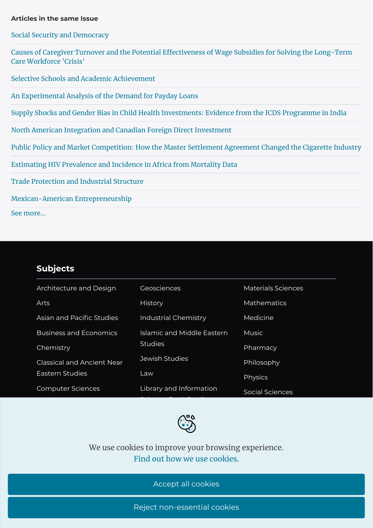## **Articles in the same Issue**

Social Security and [Democracy](https://www.degruyter.com/document/doi/10.2202/1935-1682.2428/html)

Causes of Caregiver Turnover and the Potential Effectiveness of Wage Subsidies for Solving the Long-Term Care Workforce 'Crisis'

Selective Schools and Academic [Achievement](https://www.degruyter.com/document/doi/10.2202/1935-1682.1917/html)

An [Experimental](https://www.degruyter.com/document/doi/10.2202/1935-1682.2563/html) Analysis of the Demand for Payday Loans

Supply Shocks and Gender Bias in Child Health [Investments:](https://www.degruyter.com/document/doi/10.2202/1935-1682.2402/html) Evidence from the ICDS Programme in India

North American Integration and Canadian Foreign Direct [Investment](https://www.degruyter.com/document/doi/10.2202/1935-1682.2255/html)

Public Policy and Market [Competition:](https://www.degruyter.com/document/doi/10.2202/1935-1682.2362/html) How the Master Settlement Agreement Changed the Cigarette Industry

[Estimating](https://www.degruyter.com/document/doi/10.2202/1935-1682.2602/html) HIV Prevalence and Incidence in Africa from Mortality Data

Trade [Protection](https://www.degruyter.com/document/doi/10.2202/1935-1682.2001/html) and Industrial Structure

[Mexican-American](https://www.degruyter.com/document/doi/10.2202/1935-1682.2479/html) Entrepreneurship

See [more...](https://www.degruyter.com/journal/key/bejeap/10/1/html)

## **[Subjects](https://www.degruyter.com/publishing/subjects)**

**[Services](https://www.degruyter.com/publishing/services)**

For journal [authors](https://www.degruyter.com/publishing/services/for-journal-authors)

| Architecture and Design           | Geosciences                 | <b>Materials Sciences</b> |
|-----------------------------------|-----------------------------|---------------------------|
| Arts                              | <b>History</b>              | <b>Mathematics</b>        |
| Asian and Pacific Studies         | <b>Industrial Chemistry</b> | Medicine                  |
| <b>Business and Economics</b>     | Islamic and Middle Eastern  | <b>Music</b>              |
| Chemistry                         | <b>Studies</b>              | Pharmacy                  |
| <b>Classical and Ancient Near</b> | Jewish Studies              | Philosophy                |
| Eastern Studies                   | Law                         | Physics                   |
| <b>Computer Sciences</b>          | Library and Information     | Social Sciences           |



We use cookies to [improve](https://www.degruyter.com/search?query=*&subjectFacet=LT) your browsing experience. Find out how we use [cookies.](https://www.degruyter.com/publishing/our-cookie-policy)

Accept all cookies

**[About](https://www.degruyter.com/publishing/about-us)**

[Contact](https://www.degruyter.com/publishing/about-us/contact)

**[Publications](https://www.degruyter.com/publishing/publications)**

[Publication](https://www.degruyter.com/publishing/publications/publicationtypes) types

Reject [non-es](https://www.degruyter.com/publishing/publications/openaccess)sential cookies